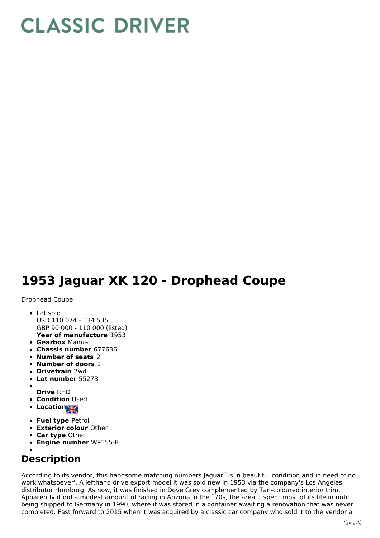## **CLASSIC DRIVER**

## **1953 Jaguar XK 120 - Drophead Coupe**

Drophead Coupe

- **Year of manufacture** 1953 • Lot sold USD 110 074 - 134 535 GBP 90 000 - 110 000 (listed)
- **Gearbox** Manual
- **Chassis number** 677636
- **Number of seats** 2
- **Number of doors** 2
- **Drivetrain** 2wd
- **Lot number** 55273
- 
- **Drive** RHD **• Condition Used**
- Location
- 
- **Fuel type** Petrol
- **Exterior colour** Other
- **Car type** Other
- **Engine number** W9155-8

## **Description**

According to its vendor, this handsome matching numbers Jaguar `is in beautiful condition and in need of no work whatsoever'. A lefthand drive export model it was sold new in 1953 via the company's Los Angeles distributor Hornburg. As now, it was finished in Dove Grey complemented by Tan-coloured interior trim. Apparently it did a modest amount of racing in Arizona in the `70s, the area it spent most of its life in until being shipped to Germany in 1990, where it was stored in a container awaiting a renovation that was never completed. Fast forward to 2015 when it was acquired by a classic car company who sold it to the vendor a